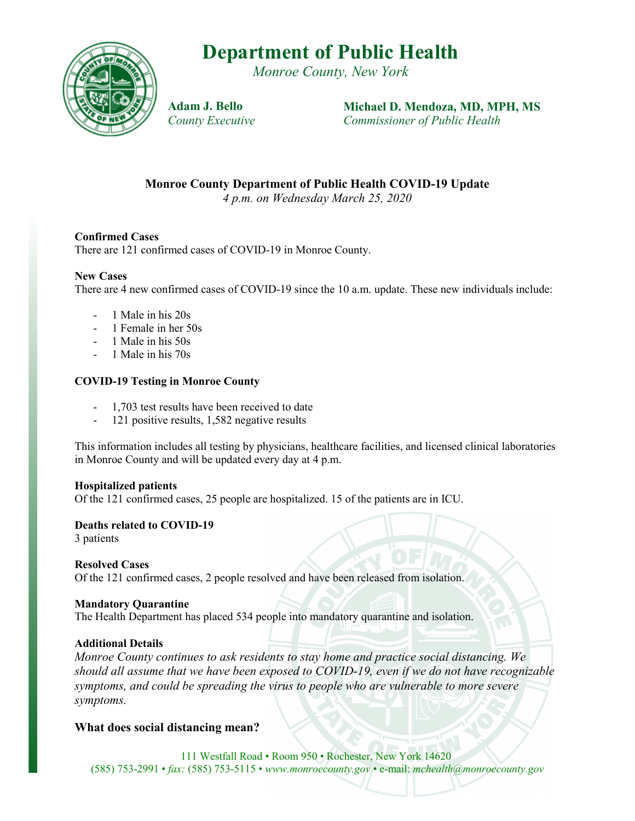# **Department of Public Health**

*Monroe County, New York*



**Adam J. Bello** *County Executive* **Michael D. Mendoza, MD, MPH, MS** *Commissioner of Public Health*

**Monroe County Department of Public Health COVID-19 Update**

*4 p.m. on Wednesday March 25, 2020*

### **Confirmed Cases**

There are 121 confirmed cases of COVID-19 in Monroe County.

### **New Cases**

There are 4 new confirmed cases of COVID-19 since the 10 a.m. update. These new individuals include:

- 1 Male in his 20s
- 1 Female in her 50s
- 1 Male in his 50s
- 1 Male in his 70s

## **COVID-19 Testing in Monroe County**

- 1,703 test results have been received to date
- 121 positive results, 1,582 negative results

This information includes all testing by physicians, healthcare facilities, and licensed clinical laboratories in Monroe County and will be updated every day at 4 p.m.

#### **Hospitalized patients**

Of the 121 confirmed cases, 25 people are hospitalized. 15 of the patients are in ICU.

#### **Deaths related to COVID-19**

3 patients

#### **Resolved Cases**

Of the 121 confirmed cases, 2 people resolved and have been released from isolation.

#### **Mandatory Quarantine**

The Health Department has placed 534 people into mandatory quarantine and isolation.

#### **Additional Details**

*Monroe County continues to ask residents to stay home and practice social distancing. We should all assume that we have been exposed to COVID-19, even if we do not have recognizable symptoms, and could be spreading the virus to people who are vulnerable to more severe symptoms.*

## **What does social distancing mean?**

111 Westfall Road • Room 950 • Rochester, New York 14620 (585) 753-2991 • *fax:* (585) 753-5115 • *www.monroecounty.gov* • e-mail: *mchealth@monroecounty.gov*